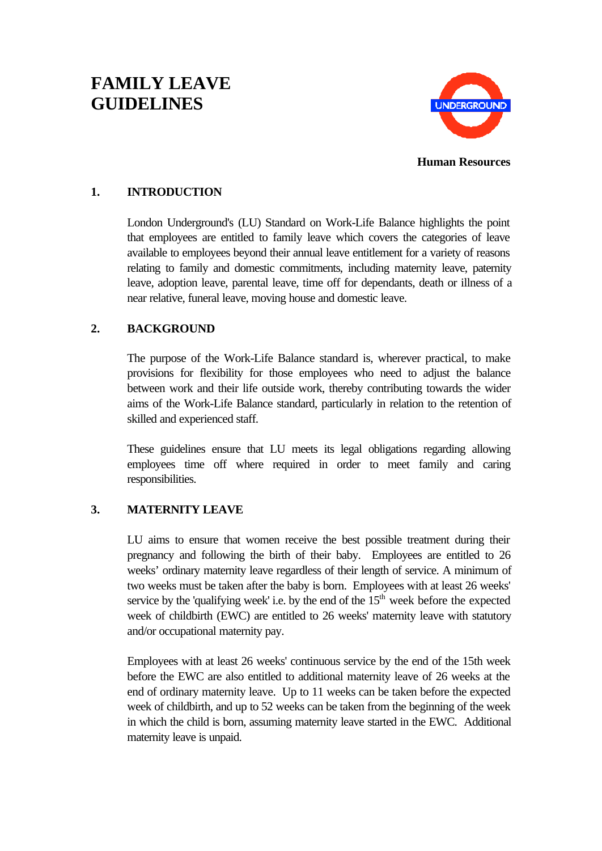# **FAMILY LEAVE GUIDELINES**



**Human Resources**

## **1. INTRODUCTION**

London Underground's (LU) Standard on Work-Life Balance highlights the point that employees are entitled to family leave which covers the categories of leave available to employees beyond their annual leave entitlement for a variety of reasons relating to family and domestic commitments, including maternity leave, paternity leave, adoption leave, parental leave, time off for dependants, death or illness of a near relative, funeral leave, moving house and domestic leave.

## **2. BACKGROUND**

The purpose of the Work-Life Balance standard is, wherever practical, to make provisions for flexibility for those employees who need to adjust the balance between work and their life outside work, thereby contributing towards the wider aims of the Work-Life Balance standard, particularly in relation to the retention of skilled and experienced staff.

These guidelines ensure that LU meets its legal obligations regarding allowing employees time off where required in order to meet family and caring responsibilities.

# **3. MATERNITY LEAVE**

LU aims to ensure that women receive the best possible treatment during their pregnancy and following the birth of their baby. Employees are entitled to 26 weeks' ordinary maternity leave regardless of their length of service. A minimum of two weeks must be taken after the baby is born. Employees with at least 26 weeks' service by the 'qualifying week' i.e. by the end of the  $15<sup>th</sup>$  week before the expected week of childbirth (EWC) are entitled to 26 weeks' maternity leave with statutory and/or occupational maternity pay.

Employees with at least 26 weeks' continuous service by the end of the 15th week before the EWC are also entitled to additional maternity leave of 26 weeks at the end of ordinary maternity leave. Up to 11 weeks can be taken before the expected week of childbirth, and up to 52 weeks can be taken from the beginning of the week in which the child is born, assuming maternity leave started in the EWC. Additional maternity leave is unpaid.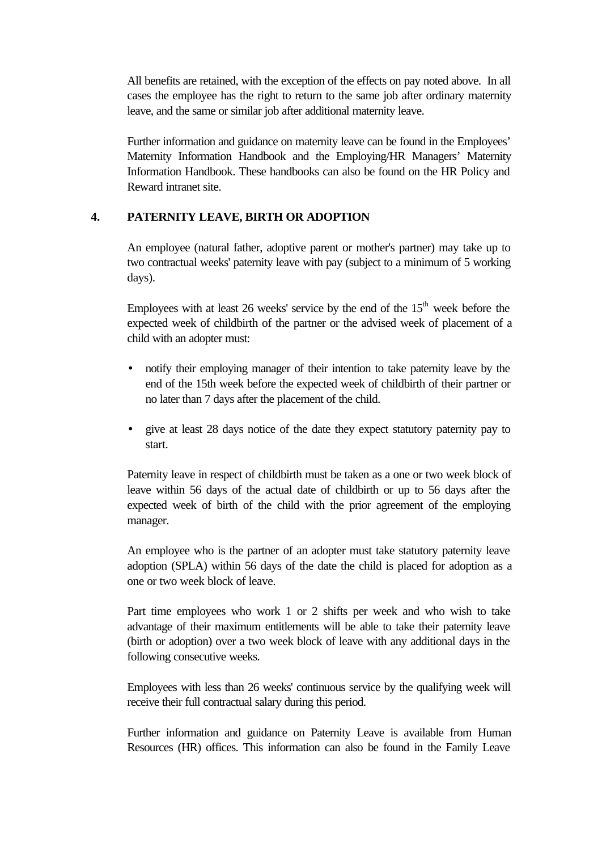All benefits are retained, with the exception of the effects on pay noted above. In all cases the employee has the right to return to the same job after ordinary maternity leave, and the same or similar job after additional maternity leave.

Further information and guidance on maternity leave can be found in the Employees' Maternity Information Handbook and the Employing/HR Managers' Maternity Information Handbook. These handbooks can also be found on the HR Policy and Reward intranet site.

#### **4. PATERNITY LEAVE, BIRTH OR ADOPTION**

An employee (natural father, adoptive parent or mother's partner) may take up to two contractual weeks' paternity leave with pay (subject to a minimum of 5 working days).

Employees with at least 26 weeks' service by the end of the  $15<sup>th</sup>$  week before the expected week of childbirth of the partner or the advised week of placement of a child with an adopter must:

- notify their employing manager of their intention to take paternity leave by the end of the 15th week before the expected week of childbirth of their partner or no later than 7 days after the placement of the child.
- give at least 28 days notice of the date they expect statutory paternity pay to start.

Paternity leave in respect of childbirth must be taken as a one or two week block of leave within 56 days of the actual date of childbirth or up to 56 days after the expected week of birth of the child with the prior agreement of the employing manager.

An employee who is the partner of an adopter must take statutory paternity leave adoption (SPLA) within 56 days of the date the child is placed for adoption as a one or two week block of leave.

Part time employees who work 1 or 2 shifts per week and who wish to take advantage of their maximum entitlements will be able to take their paternity leave (birth or adoption) over a two week block of leave with any additional days in the following consecutive weeks.

Employees with less than 26 weeks' continuous service by the qualifying week will receive their full contractual salary during this period.

Further information and guidance on Paternity Leave is available from Human Resources (HR) offices. This information can also be found in the Family Leave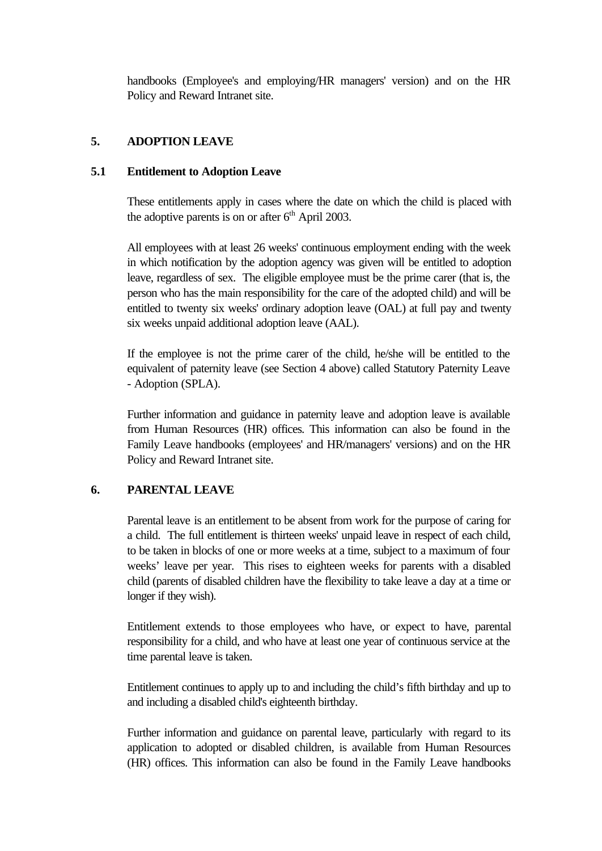handbooks (Employee's and employing/HR managers' version) and on the HR Policy and Reward Intranet site.

## **5. ADOPTION LEAVE**

#### **5.1 Entitlement to Adoption Leave**

These entitlements apply in cases where the date on which the child is placed with the adoptive parents is on or after  $6<sup>th</sup>$  April 2003.

All employees with at least 26 weeks' continuous employment ending with the week in which notification by the adoption agency was given will be entitled to adoption leave, regardless of sex. The eligible employee must be the prime carer (that is, the person who has the main responsibility for the care of the adopted child) and will be entitled to twenty six weeks' ordinary adoption leave (OAL) at full pay and twenty six weeks unpaid additional adoption leave (AAL).

If the employee is not the prime carer of the child, he/she will be entitled to the equivalent of paternity leave (see Section 4 above) called Statutory Paternity Leave - Adoption (SPLA).

Further information and guidance in paternity leave and adoption leave is available from Human Resources (HR) offices. This information can also be found in the Family Leave handbooks (employees' and HR/managers' versions) and on the HR Policy and Reward Intranet site.

## **6. PARENTAL LEAVE**

Parental leave is an entitlement to be absent from work for the purpose of caring for a child. The full entitlement is thirteen weeks' unpaid leave in respect of each child, to be taken in blocks of one or more weeks at a time, subject to a maximum of four weeks' leave per year. This rises to eighteen weeks for parents with a disabled child (parents of disabled children have the flexibility to take leave a day at a time or longer if they wish).

Entitlement extends to those employees who have, or expect to have, parental responsibility for a child, and who have at least one year of continuous service at the time parental leave is taken.

Entitlement continues to apply up to and including the child's fifth birthday and up to and including a disabled child's eighteenth birthday.

Further information and guidance on parental leave, particularly with regard to its application to adopted or disabled children, is available from Human Resources (HR) offices. This information can also be found in the Family Leave handbooks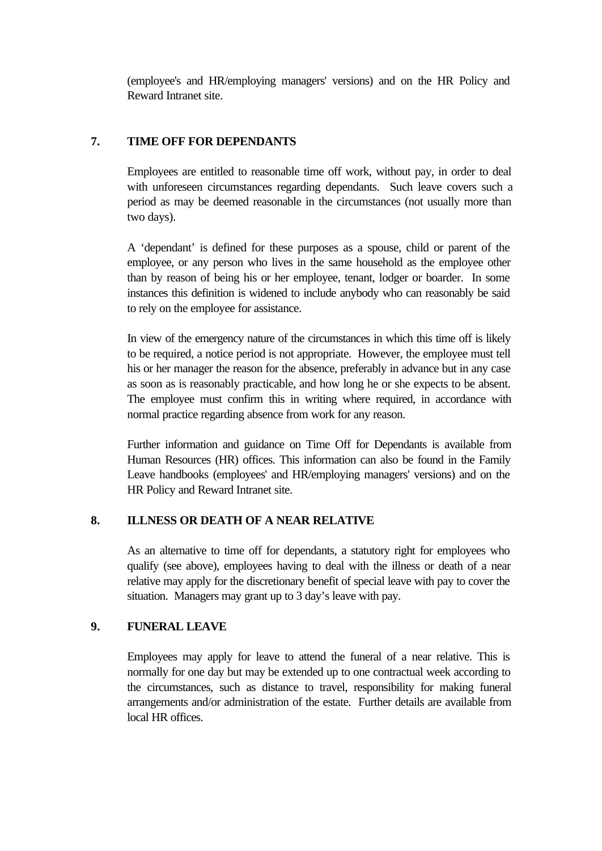(employee's and HR/employing managers' versions) and on the HR Policy and Reward Intranet site.

## **7. TIME OFF FOR DEPENDANTS**

Employees are entitled to reasonable time off work, without pay, in order to deal with unforeseen circumstances regarding dependants. Such leave covers such a period as may be deemed reasonable in the circumstances (not usually more than two days).

A 'dependant' is defined for these purposes as a spouse, child or parent of the employee, or any person who lives in the same household as the employee other than by reason of being his or her employee, tenant, lodger or boarder. In some instances this definition is widened to include anybody who can reasonably be said to rely on the employee for assistance.

In view of the emergency nature of the circumstances in which this time off is likely to be required, a notice period is not appropriate. However, the employee must tell his or her manager the reason for the absence, preferably in advance but in any case as soon as is reasonably practicable, and how long he or she expects to be absent. The employee must confirm this in writing where required, in accordance with normal practice regarding absence from work for any reason.

Further information and guidance on Time Off for Dependants is available from Human Resources (HR) offices. This information can also be found in the Family Leave handbooks (employees' and HR/employing managers' versions) and on the HR Policy and Reward Intranet site.

#### **8. ILLNESS OR DEATH OF A NEAR RELATIVE**

As an alternative to time off for dependants, a statutory right for employees who qualify (see above), employees having to deal with the illness or death of a near relative may apply for the discretionary benefit of special leave with pay to cover the situation. Managers may grant up to 3 day's leave with pay.

#### **9. FUNERAL LEAVE**

Employees may apply for leave to attend the funeral of a near relative. This is normally for one day but may be extended up to one contractual week according to the circumstances, such as distance to travel, responsibility for making funeral arrangements and/or administration of the estate. Further details are available from local HR offices.